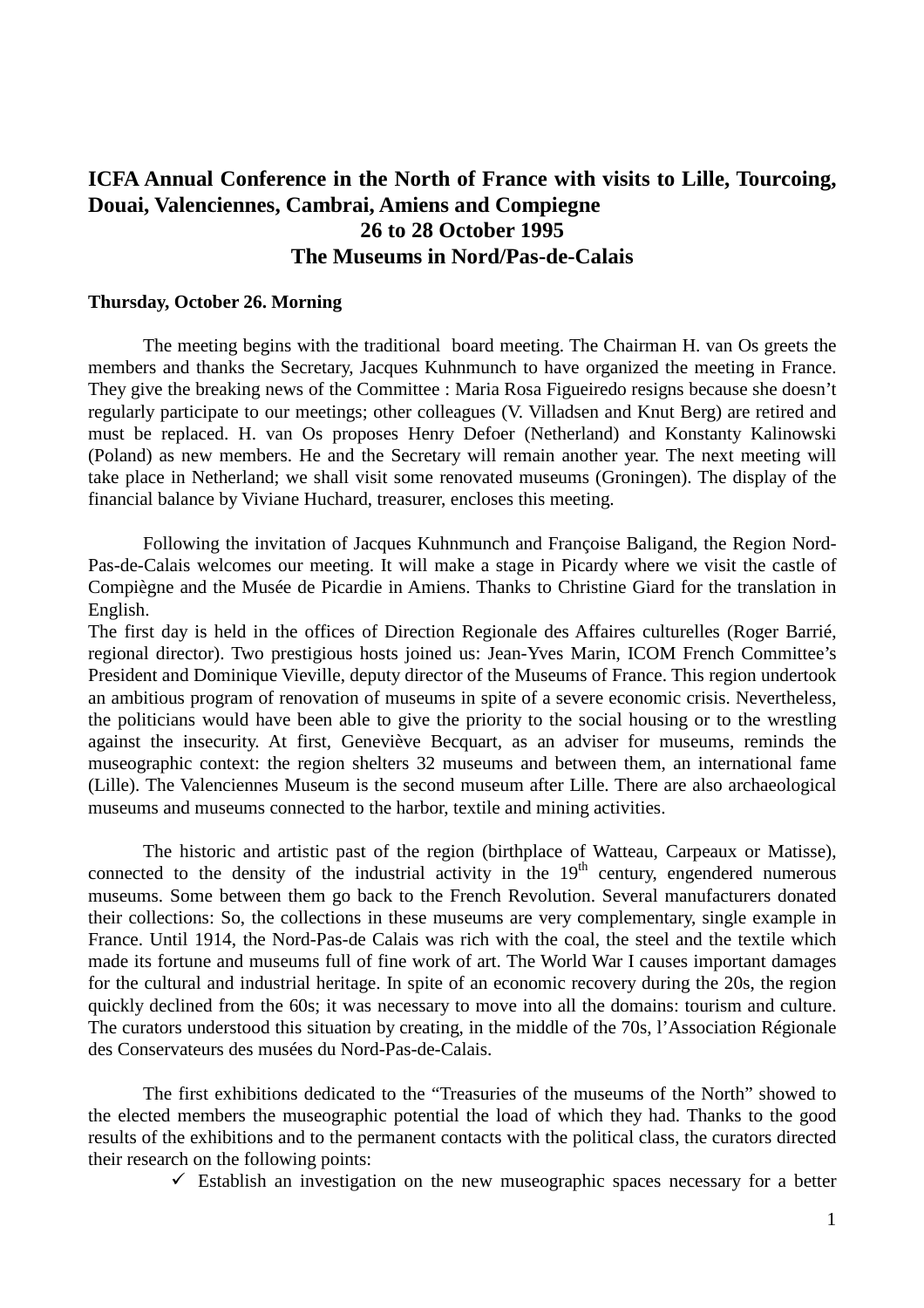# **ICFA Annual Conference in the North of France with visits to Lille, Tourcoing, Douai, Valenciennes, Cambrai, Amiens and Compiegne 26 to 28 October 1995 The Museums in Nord/Pas-de-Calais**

#### **Thursday, October 26. Morning**

The meeting begins with the traditional board meeting. The Chairman H. van Os greets the members and thanks the Secretary, Jacques Kuhnmunch to have organized the meeting in France. They give the breaking news of the Committee : Maria Rosa Figueiredo resigns because she doesn't regularly participate to our meetings; other colleagues (V. Villadsen and Knut Berg) are retired and must be replaced. H. van Os proposes Henry Defoer (Netherland) and Konstanty Kalinowski (Poland) as new members. He and the Secretary will remain another year. The next meeting will take place in Netherland; we shall visit some renovated museums (Groningen). The display of the financial balance by Viviane Huchard, treasurer, encloses this meeting.

Following the invitation of Jacques Kuhnmunch and Françoise Baligand, the Region Nord-Pas-de-Calais welcomes our meeting. It will make a stage in Picardy where we visit the castle of Compiègne and the Musée de Picardie in Amiens. Thanks to Christine Giard for the translation in English.

The first day is held in the offices of Direction Regionale des Affaires culturelles (Roger Barrié, regional director). Two prestigious hosts joined us: Jean-Yves Marin, ICOM French Committee's President and Dominique Vieville, deputy director of the Museums of France. This region undertook an ambitious program of renovation of museums in spite of a severe economic crisis. Nevertheless, the politicians would have been able to give the priority to the social housing or to the wrestling against the insecurity. At first, Geneviève Becquart, as an adviser for museums, reminds the museographic context: the region shelters 32 museums and between them, an international fame (Lille). The Valenciennes Museum is the second museum after Lille. There are also archaeological museums and museums connected to the harbor, textile and mining activities.

 The historic and artistic past of the region (birthplace of Watteau, Carpeaux or Matisse), connected to the density of the industrial activity in the  $19<sup>th</sup>$  century, engendered numerous museums. Some between them go back to the French Revolution. Several manufacturers donated their collections: So, the collections in these museums are very complementary, single example in France. Until 1914, the Nord-Pas-de Calais was rich with the coal, the steel and the textile which made its fortune and museums full of fine work of art. The World War I causes important damages for the cultural and industrial heritage. In spite of an economic recovery during the 20s, the region quickly declined from the 60s; it was necessary to move into all the domains: tourism and culture. The curators understood this situation by creating, in the middle of the 70s, l'Association Régionale des Conservateurs des musées du Nord-Pas-de-Calais.

The first exhibitions dedicated to the "Treasuries of the museums of the North" showed to the elected members the museographic potential the load of which they had. Thanks to the good results of the exhibitions and to the permanent contacts with the political class, the curators directed their research on the following points:

 $\checkmark$  Establish an investigation on the new museographic spaces necessary for a better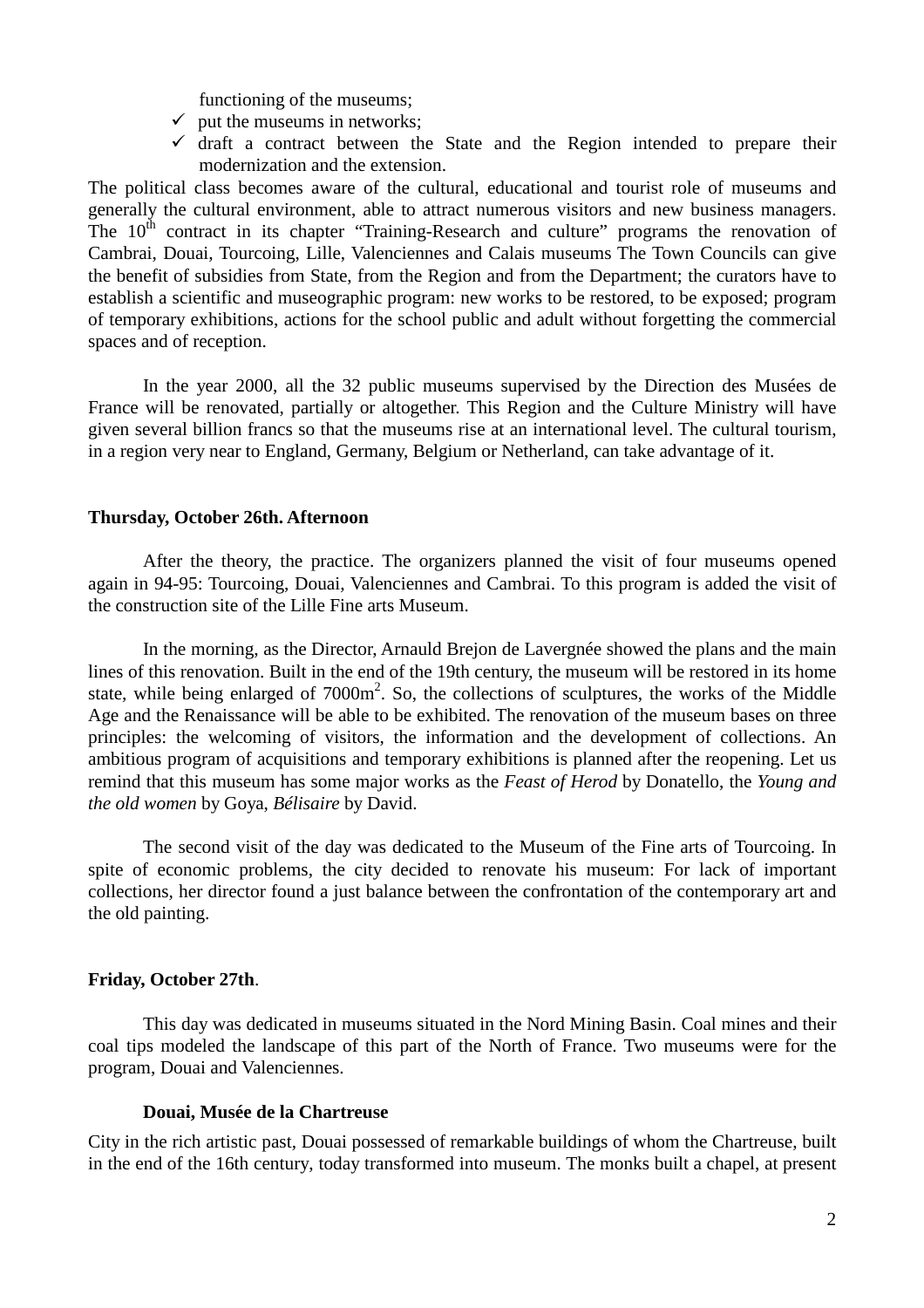functioning of the museums;

- $\checkmark$  put the museums in networks;
- $\checkmark$  draft a contract between the State and the Region intended to prepare their modernization and the extension.

The political class becomes aware of the cultural, educational and tourist role of museums and generally the cultural environment, able to attract numerous visitors and new business managers. The  $10<sup>th</sup>$  contract in its chapter "Training-Research and culture" programs the renovation of Cambrai, Douai, Tourcoing, Lille, Valenciennes and Calais museums The Town Councils can give the benefit of subsidies from State, from the Region and from the Department; the curators have to establish a scientific and museographic program: new works to be restored, to be exposed; program of temporary exhibitions, actions for the school public and adult without forgetting the commercial spaces and of reception.

In the year 2000, all the 32 public museums supervised by the Direction des Musées de France will be renovated, partially or altogether. This Region and the Culture Ministry will have given several billion francs so that the museums rise at an international level. The cultural tourism, in a region very near to England, Germany, Belgium or Netherland, can take advantage of it.

#### **Thursday, October 26th. Afternoon**

After the theory, the practice. The organizers planned the visit of four museums opened again in 94-95: Tourcoing, Douai, Valenciennes and Cambrai. To this program is added the visit of the construction site of the Lille Fine arts Museum.

In the morning, as the Director, Arnauld Brejon de Lavergnée showed the plans and the main lines of this renovation. Built in the end of the 19th century, the museum will be restored in its home state, while being enlarged of  $7000m^2$ . So, the collections of sculptures, the works of the Middle Age and the Renaissance will be able to be exhibited. The renovation of the museum bases on three principles: the welcoming of visitors, the information and the development of collections. An ambitious program of acquisitions and temporary exhibitions is planned after the reopening. Let us remind that this museum has some major works as the *Feast of Herod* by Donatello, the *Young and the old women* by Goya, *Bélisaire* by David.

The second visit of the day was dedicated to the Museum of the Fine arts of Tourcoing. In spite of economic problems, the city decided to renovate his museum: For lack of important collections, her director found a just balance between the confrontation of the contemporary art and the old painting.

### **Friday, October 27th**.

This day was dedicated in museums situated in the Nord Mining Basin. Coal mines and their coal tips modeled the landscape of this part of the North of France. Two museums were for the program, Douai and Valenciennes.

### **Douai, Musée de la Chartreuse**

City in the rich artistic past, Douai possessed of remarkable buildings of whom the Chartreuse, built in the end of the 16th century, today transformed into museum. The monks built a chapel, at present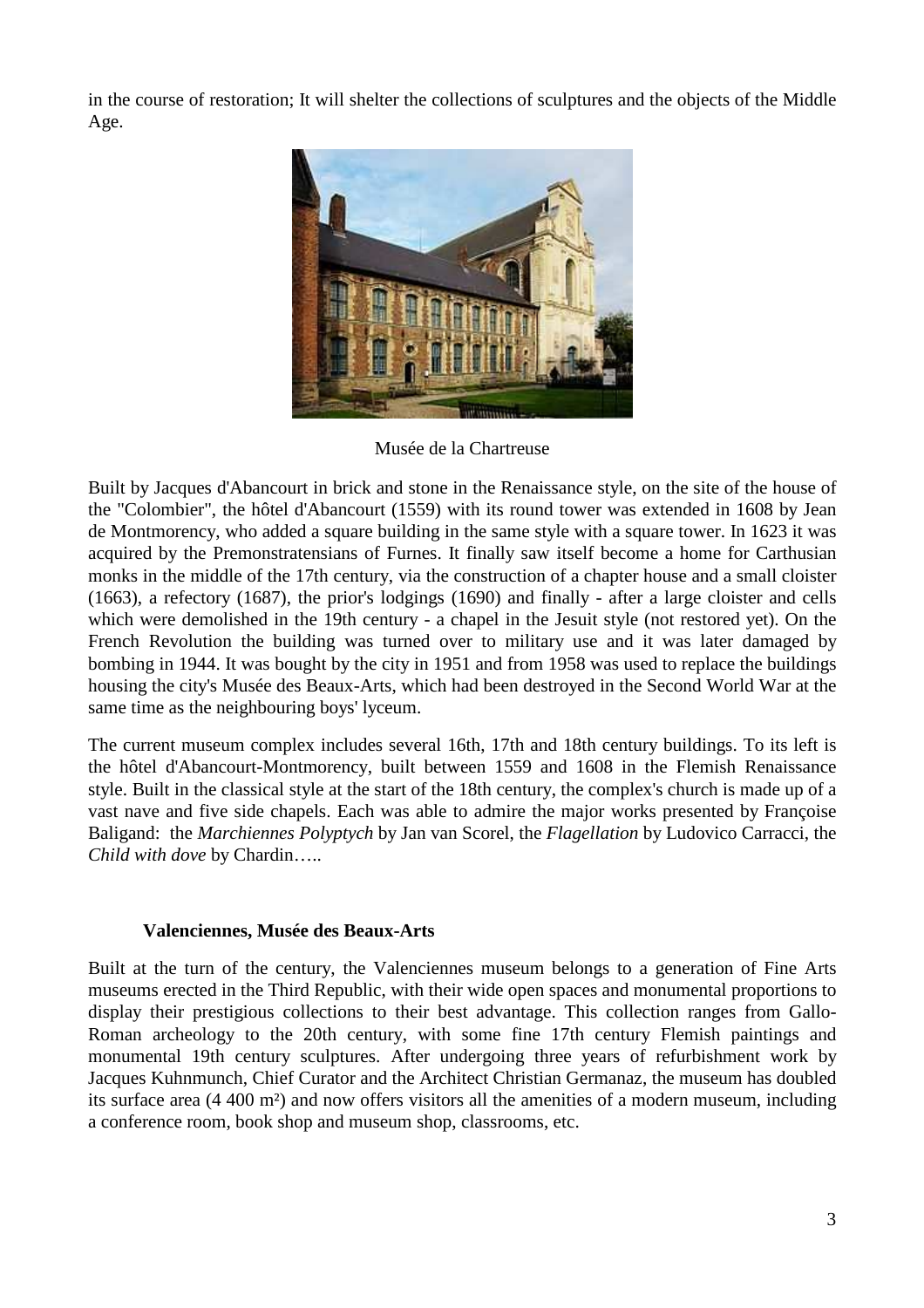in the course of restoration; It will shelter the collections of sculptures and the objects of the Middle Age.



Musée de la Chartreuse

Built by Jacques d'Abancourt in brick and stone in the Renaissance style, on the site of the house of the "Colombier", the hôtel d'Abancourt (1559) with its round tower was extended in 1608 by Jean de Montmorency, who added a square building in the same style with a square tower. In 1623 it was acquired by the Premonstratensians of Furnes. It finally saw itself become a home for Carthusian monks in the middle of the 17th century, via the construction of a chapter house and a small cloister (1663), a refectory (1687), the prior's lodgings (1690) and finally - after a large cloister and cells which were demolished in the 19th century - a chapel in the Jesuit style (not restored yet). On the French Revolution the building was turned over to military use and it was later damaged by bombing in 1944. It was bought by the city in 1951 and from 1958 was used to replace the buildings housing the city's Musée des Beaux-Arts, which had been destroyed in the Second World War at the same time as the neighbouring boys' lyceum.

The current museum complex includes several 16th, 17th and 18th century buildings. To its left is the hôtel d'Abancourt-Montmorency, built between 1559 and 1608 in the Flemish Renaissance style. Built in the classical style at the start of the 18th century, the complex's church is made up of a vast nave and five side chapels. Each was able to admire the major works presented by Françoise Baligand: the *Marchiennes Polyptych* by Jan van Scorel, the *Flagellation* by Ludovico Carracci, the *Child with dove* by Chardin…..

### **Valenciennes, Musée des Beaux-Arts**

Built at the turn of the century, the Valenciennes museum belongs to a generation of Fine Arts museums erected in the Third Republic, with their wide open spaces and monumental proportions to display their prestigious collections to their best advantage. This collection ranges from Gallo-Roman archeology to the 20th century, with some fine 17th century Flemish paintings and monumental 19th century sculptures. After undergoing three years of refurbishment work by Jacques Kuhnmunch, Chief Curator and the Architect Christian Germanaz, the museum has doubled its surface area (4 400 m²) and now offers visitors all the amenities of a modern museum, including a conference room, book shop and museum shop, classrooms, etc.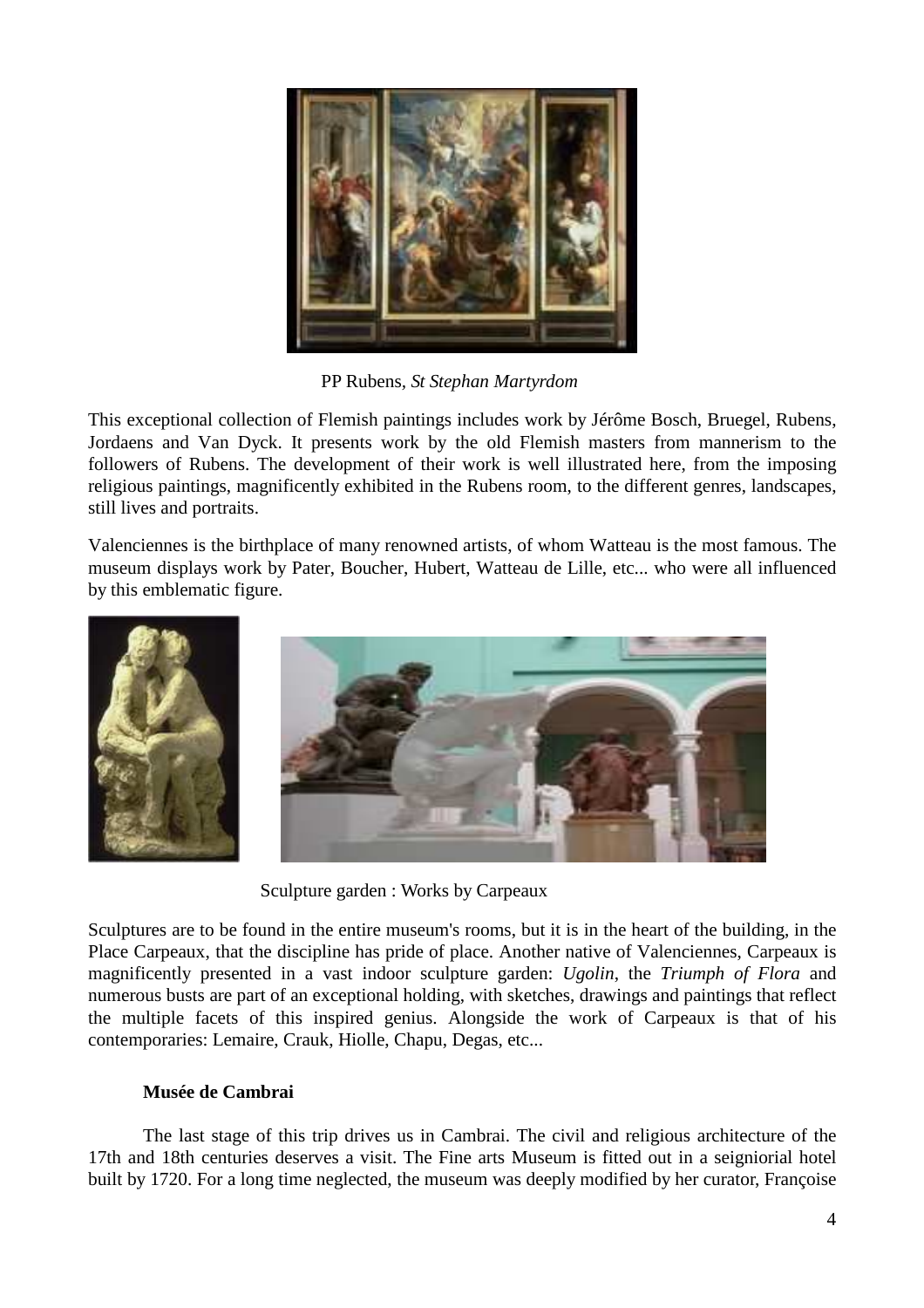

PP Rubens*, St Stephan Martyrdom* 

This exceptional collection of Flemish paintings includes work by Jérôme Bosch, Bruegel, Rubens, Jordaens and Van Dyck. It presents work by the old Flemish masters from mannerism to the followers of Rubens. The development of their work is well illustrated here, from the imposing religious paintings, magnificently exhibited in the Rubens room, to the different genres, landscapes, still lives and portraits.

Valenciennes is the birthplace of many renowned artists, of whom Watteau is the most famous. The museum displays work by Pater, Boucher, Hubert, Watteau de Lille, etc... who were all influenced by this emblematic figure.



Sculpture garden : Works by Carpeaux

Sculptures are to be found in the entire museum's rooms, but it is in the heart of the building, in the Place Carpeaux, that the discipline has pride of place. Another native of Valenciennes, Carpeaux is magnificently presented in a vast indoor sculpture garden: *Ugolin*, the *Triumph of Flora* and numerous busts are part of an exceptional holding, with sketches, drawings and paintings that reflect the multiple facets of this inspired genius. Alongside the work of Carpeaux is that of his contemporaries: Lemaire, Crauk, Hiolle, Chapu, Degas, etc...

# **Musée de Cambrai**

The last stage of this trip drives us in Cambrai. The civil and religious architecture of the 17th and 18th centuries deserves a visit. The Fine arts Museum is fitted out in a seigniorial hotel built by 1720. For a long time neglected, the museum was deeply modified by her curator, Françoise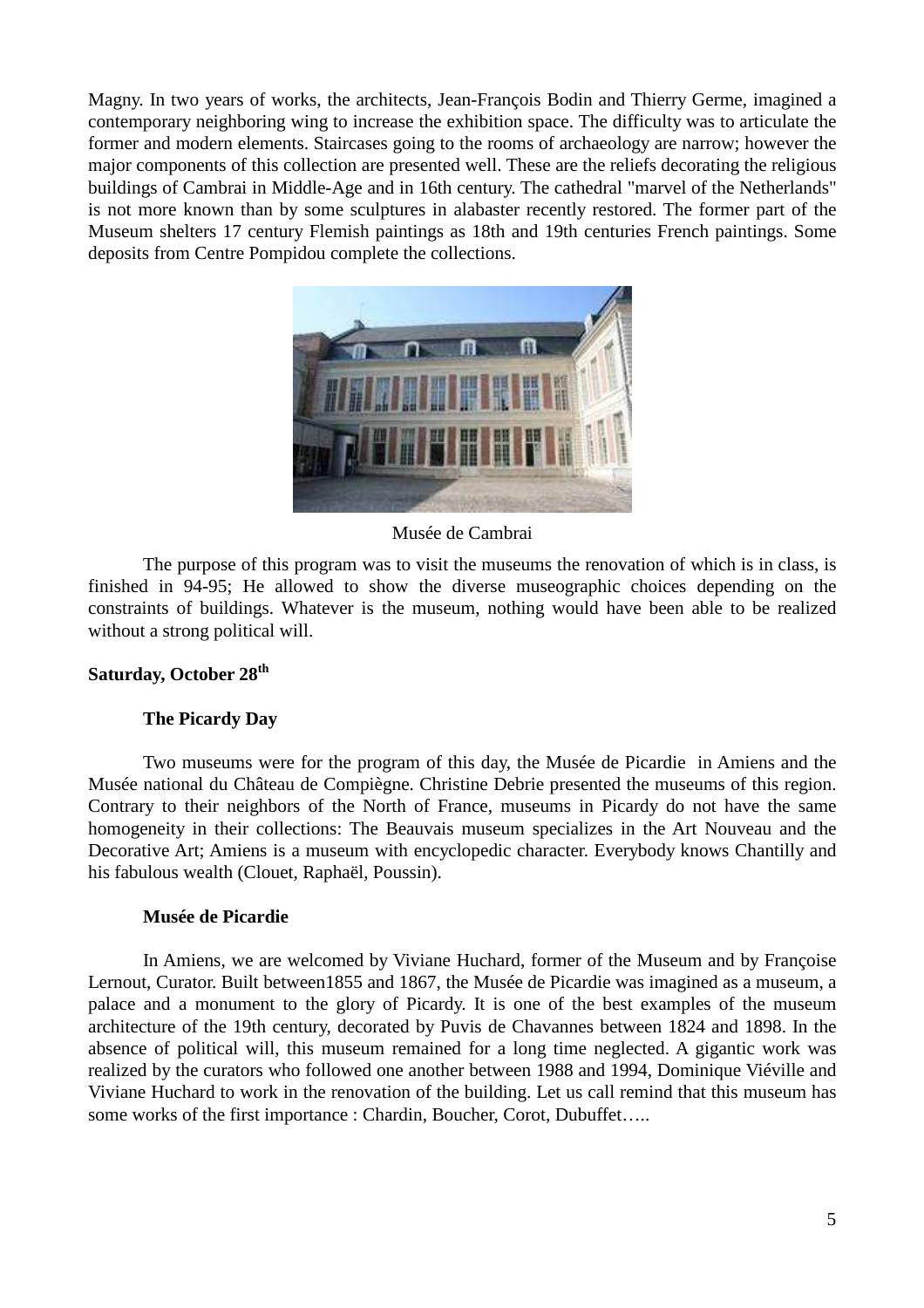Magny. In two years of works, the architects, Jean-François Bodin and Thierry Germe, imagined a contemporary neighboring wing to increase the exhibition space. The difficulty was to articulate the former and modern elements. Staircases going to the rooms of archaeology are narrow; however the major components of this collection are presented well. These are the reliefs decorating the religious buildings of Cambrai in Middle-Age and in 16th century. The cathedral "marvel of the Netherlands" is not more known than by some sculptures in alabaster recently restored. The former part of the Museum shelters 17 century Flemish paintings as 18th and 19th centuries French paintings. Some deposits from Centre Pompidou complete the collections.



Musée de Cambrai

The purpose of this program was to visit the museums the renovation of which is in class, is finished in 94-95; He allowed to show the diverse museographic choices depending on the constraints of buildings. Whatever is the museum, nothing would have been able to be realized without a strong political will.

### **Saturday, October 28th**

### **The Picardy Day**

Two museums were for the program of this day, the Musée de Picardie in Amiens and the Musée national du Château de Compiègne. Christine Debrie presented the museums of this region. Contrary to their neighbors of the North of France, museums in Picardy do not have the same homogeneity in their collections: The Beauvais museum specializes in the Art Nouveau and the Decorative Art; Amiens is a museum with encyclopedic character. Everybody knows Chantilly and his fabulous wealth (Clouet, Raphaël, Poussin).

### **Musée de Picardie**

In Amiens, we are welcomed by Viviane Huchard, former of the Museum and by Françoise Lernout, Curator. Built between1855 and 1867, the Musée de Picardie was imagined as a museum, a palace and a monument to the glory of Picardy. It is one of the best examples of the museum architecture of the 19th century, decorated by Puvis de Chavannes between 1824 and 1898. In the absence of political will, this museum remained for a long time neglected. A gigantic work was realized by the curators who followed one another between 1988 and 1994, Dominique Viéville and Viviane Huchard to work in the renovation of the building. Let us call remind that this museum has some works of the first importance : Chardin, Boucher, Corot, Dubuffet.....